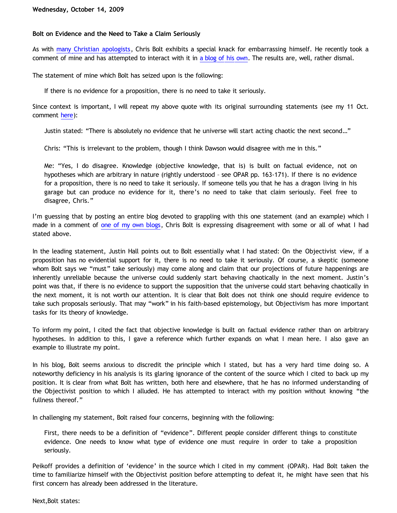# **Bolt on Evidence and the Need to Take a Claim Seriously**

As with [many Christian apologists,](http://bahnsenburner.blogspot.com/2005/04/from-horses-mouth-apologists-shooting.html) Chris Bolt exhibits a special knack for embarrassing himself. He recently took a comment of mine and has attempted to interact with it in [a blog of his own](http://www.choosinghats.com/?p=404). The results are, well, rather dismal.

The statement of mine which Bolt has seized upon is the following:

If there is no evidence for a proposition, there is no need to take it seriously.

Since context is important, I will repeat my above quote with its original surrounding statements (see my 11 Oct. comment [here](http://bahnsenburner.blogspot.com/2009/10/chris-bolt-on-hume-and-induction.html)):

Justin stated: "There is absolutely no evidence that he universe will start acting chaotic the next second…"

Chris: "This is irrelevant to the problem, though I think Dawson would disagree with me in this."

Me: "Yes, I do disagree. Knowledge (objective knowledge, that is) is built on factual evidence, not on hypotheses which are arbitrary in nature (rightly understood – see OPAR pp. 163-171). If there is no evidence for a proposition, there is no need to take it seriously. If someone tells you that he has a dragon living in his garage but can produce no evidence for it, there's no need to take that claim seriously. Feel free to disagree, Chris."

I'm guessing that by posting an entire blog devoted to grappling with this one statement (and an example) which I made in a comment of [one of my own blogs](http://bahnsenburner.blogspot.com/2009/10/chris-bolt-on-hume-and-induction.html), Chris Bolt is expressing disagreement with some or all of what I had stated above.

In the leading statement, Justin Hall points out to Bolt essentially what I had stated: On the Objectivist view, if a proposition has no evidential support for it, there is no need to take it seriously. Of course, a skeptic (someone whom Bolt says we "must" take seriously) may come along and claim that our projections of future happenings are inherently unreliable because the universe could suddenly start behaving chaotically in the next moment. Justin's point was that, if there is no evidence to support the supposition that the universe could start behaving chaotically in the next moment, it is not worth our attention. It is clear that Bolt does not think one should require evidence to take such proposals seriously. That may "work" in his faith-based epistemology, but Objectivism has more important tasks for its theory of knowledge.

To inform my point, I cited the fact that objective knowledge is built on factual evidence rather than on arbitrary hypotheses. In addition to this, I gave a reference which further expands on what I mean here. I also gave an example to illustrate my point.

In his blog, Bolt seems anxious to discredit the principle which I stated, but has a very hard time doing so. A noteworthy deficiency in his analysis is its glaring ignorance of the content of the source which I cited to back up my position. It is clear from what Bolt has written, both here and elsewhere, that he has no informed understanding of the Objectivist position to which I alluded. He has attempted to interact with my position without knowing "the fullness thereof."

In challenging my statement, Bolt raised four concerns, beginning with the following:

First, there needs to be a definition of "evidence". Different people consider different things to constitute evidence. One needs to know what type of evidence one must require in order to take a proposition seriously.

Peikoff provides a definition of 'evidence' in the source which I cited in my comment (OPAR). Had Bolt taken the time to familiarize himself with the Objectivist position before attempting to defeat it, he might have seen that his first concern has already been addressed in the literature.

Next,Bolt states: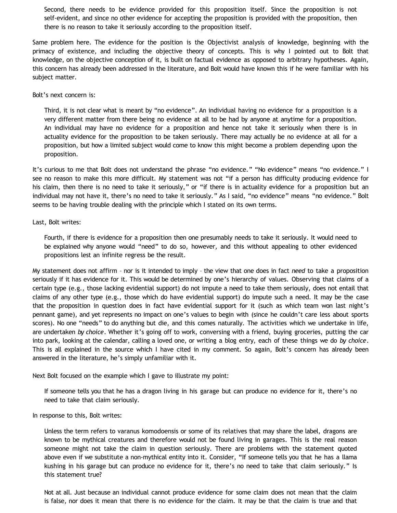Second, there needs to be evidence provided for this proposition itself. Since the proposition is not self-evident, and since no other evidence for accepting the proposition is provided with the proposition, then there is no reason to take it seriously according to the proposition itself.

Same problem here. The evidence for the position is the Objectivist analysis of knowledge, beginning with the primacy of existence, and including the objective theory of concepts. This is why I pointed out to Bolt that knowledge, on the objective conception of it, is built on factual evidence as opposed to arbitrary hypotheses. Again, this concern has already been addressed in the literature, and Bolt would have known this if he were familiar with his subject matter.

## Bolt's next concern is:

Third, it is not clear what is meant by "no evidence". An individual having no evidence for a proposition is a very different matter from there being no evidence at all to be had by anyone at anytime for a proposition. An individual may have no evidence for a proposition and hence not take it seriously when there is in actuality evidence for the proposition to be taken seriously. There may actually be no evidence at all for a proposition, but how a limited subject would come to know this might become a problem depending upon the proposition.

It's curious to me that Bolt does not understand the phrase "no evidence." "No evidence" means "no evidence." I see no reason to make this more difficult. My statement was not "if a person has difficulty producing evidence for his claim, then there is no need to take it seriously," or "if there is in actuality evidence for a proposition but an individual may not have it, there's no need to take it seriously." As I said, "no evidence" means "no evidence." Bolt seems to be having trouble dealing with the principle which I stated on its own terms.

#### Last, Bolt writes:

Fourth, if there is evidence for a proposition then one presumably needs to take it seriously. It would need to be explained why anyone would "need" to do so, however, and this without appealing to other evidenced propositions lest an infinite regress be the result.

My statement does not affirm – nor is it intended to imply – the view that one does in fact *need* to take a proposition seriously if it has evidence for it. This would be determined by one's hierarchy of values. Observing that claims of a certain type (e.g., those lacking evidential support) do not impute a need to take them seriously, does not entail that claims of any other type (e.g., those which do have evidential support) do impute such a need. It may be the case that the proposition in question does in fact have evidential support for it (such as which team won last night's pennant game), and yet represents no impact on one's values to begin with (since he couldn't care less about sports scores). No one "needs" to do anything but die, and this comes naturally. The activities which we undertake in life, are undertaken *by choice*. Whether it's going off to work, conversing with a friend, buying groceries, putting the car into park, looking at the calendar, calling a loved one, or writing a blog entry, each of these things we do *by choice*. This is all explained in the source which I have cited in my comment. So again, Bolt's concern has already been answered in the literature, he's simply unfamiliar with it.

Next Bolt focused on the example which I gave to illustrate my point:

If someone tells you that he has a dragon living in his garage but can produce no evidence for it, there's no need to take that claim seriously.

In response to this, Bolt writes:

Unless the term refers to varanus komodoensis or some of its relatives that may share the label, dragons are known to be mythical creatures and therefore would not be found living in garages. This is the real reason someone might not take the claim in question seriously. There are problems with the statement quoted above even if we substitute a non-mythical entity into it. Consider, "If someone tells you that he has a llama kushing in his garage but can produce no evidence for it, there's no need to take that claim seriously." Is this statement true?

Not at all. Just because an individual cannot produce evidence for some claim does not mean that the claim is false, nor does it mean that there is no evidence for the claim. It may be that the claim is true and that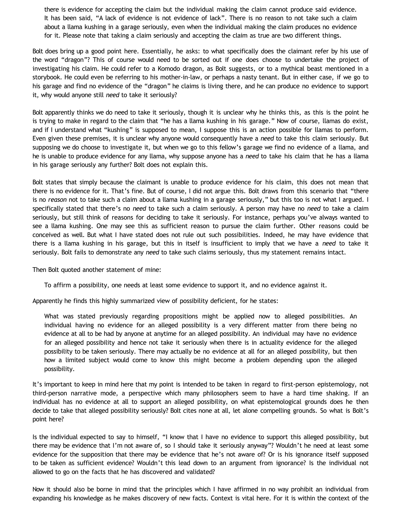there is evidence for accepting the claim but the individual making the claim cannot produce said evidence. It has been said, "A lack of evidence is not evidence of lack". There is no reason to not take such a claim about a llama kushing in a garage seriously, even when the individual making the claim produces no evidence for it. Please note that taking a claim seriously and accepting the claim as true are two different things.

Bolt does bring up a good point here. Essentially, he asks: to what specifically does the claimant refer by his use of the word "dragon"? This of course would need to be sorted out if one does choose to undertake the project of investigating his claim. He could refer to a Komodo dragon, as Bolt suggests, or to a mythical beast mentioned in a storybook. He could even be referring to his mother-in-law, or perhaps a nasty tenant. But in either case, if we go to his garage and find no evidence of the "dragon" he claims is living there, and he can produce no evidence to support it, why would anyone still *need* to take it seriously?

Bolt apparently thinks we do need to take it seriously, though it is unclear why he thinks this, as this is the point he is trying to make in regard to the claim that "he has a llama kushing in his garage." Now of course, llamas do exist, and if I understand what "kushing" is supposed to mean, I suppose this is an action possible for llamas to perform. Even given these premises, it is unclear why anyone would consequently have a *need* to take this claim seriously. But supposing we do choose to investigate it, but when we go to this fellow's garage we find no evidence of a llama, and he is unable to produce evidence for any llama, why suppose anyone has a *need* to take his claim that he has a llama in his garage seriously any further? Bolt does not explain this.

Bolt states that simply because the claimant is unable to produce evidence for his claim, this does not mean that there is no evidence for it. That's fine. But of course, I did not argue this. Bolt draws from this scenario that "there is no *reason* not to take such a claim about a llama kushing in a garage seriously," but this too is not what I argued. I specifically stated that there's no *need* to take such a claim seriously. A person may have no *need* to take a claim seriously, but still think of reasons for deciding to take it seriously. For instance, perhaps you've always wanted to see a llama kushing. One may see this as sufficient reason to pursue the claim further. Other reasons could be conceived as well. But what I have stated does not rule out such possibilities. Indeed, he may have evidence that there is a llama kushing in his garage, but this in itself is insufficient to imply that we have a *need* to take it seriously. Bolt fails to demonstrate any *need* to take such claims seriously, thus my statement remains intact.

Then Bolt quoted another statement of mine:

To affirm a possibility, one needs at least some evidence to support it, and no evidence against it.

Apparently he finds this highly summarized view of possibility deficient, for he states:

What was stated previously regarding propositions might be applied now to alleged possibilities. An individual having no evidence for an alleged possibility is a very different matter from there being no evidence at all to be had by anyone at anytime for an alleged possibility. An individual may have no evidence for an alleged possibility and hence not take it seriously when there is in actuality evidence for the alleged possibility to be taken seriously. There may actually be no evidence at all for an alleged possibility, but then how a limited subject would come to know this might become a problem depending upon the alleged possibility.

It's important to keep in mind here that my point is intended to be taken in regard to first-person epistemology, not third-person narrative mode, a perspective which many philosophers seem to have a hard time shaking. If an individual has no evidence at all to support an alleged possibility, on what epistemological grounds does he then decide to take that alleged possibility seriously? Bolt cites none at all, let alone compelling grounds. So what is Bolt's point here?

Is the individual expected to say to himself, "I know that I have no evidence to support this alleged possibility, but there may be evidence that I'm not aware of, so I should take it seriously anyway"? Wouldn't he need at least some evidence for the supposition that there may be evidence that he's not aware of? Or is his ignorance itself supposed to be taken as sufficient evidence? Wouldn't this lead down to an argument from ignorance? Is the individual not allowed to go on the facts that he has discovered and validated?

Now it should also be borne in mind that the principles which I have affirmed in no way prohibit an individual from expanding his knowledge as he makes discovery of new facts. Context is vital here. For it is within the context of the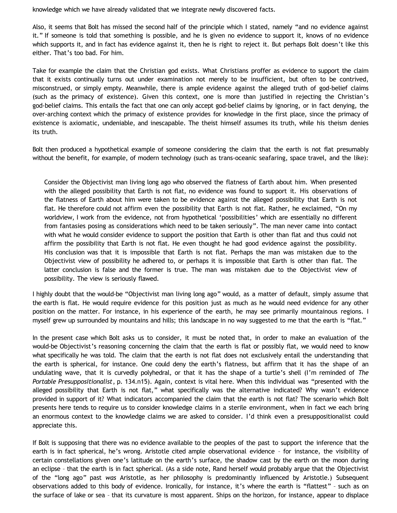knowledge which we have already validated that we integrate newly discovered facts.

Also, it seems that Bolt has missed the second half of the principle which I stated, namely "and no evidence against it." If someone is told that something is possible, and he is given no evidence to support it, knows of no evidence which supports it, and in fact has evidence against it, then he is right to reject it. But perhaps Bolt doesn't like this either. That's too bad. For him.

Take for example the claim that the Christian god exists. What Christians proffer as evidence to support the claim that it exists continually turns out under examination not merely to be insufficient, but often to be contrived, misconstrued, or simply empty. Meanwhile, there is ample evidence against the alleged truth of god-belief claims (such as the primacy of existence). Given this context, one is more than justified in rejecting the Christian's god-belief claims. This entails the fact that one can only accept god-belief claims by ignoring, or in fact denying, the over-arching context which the primacy of existence provides for knowledge in the first place, since the primacy of existence is axiomatic, undeniable, and inescapable. The theist himself assumes its truth, while his theism denies its truth.

Bolt then produced a hypothetical example of someone considering the claim that the earth is not flat presumably without the benefit, for example, of modern technology (such as trans-oceanic seafaring, space travel, and the like):

Consider the Objectivist man living long ago who observed the flatness of Earth about him. When presented with the alleged possibility that Earth is not flat, no evidence was found to support it. His observations of the flatness of Earth about him were taken to be evidence against the alleged possibility that Earth is not flat. He therefore could not affirm even the possibility that Earth is not flat. Rather, he exclaimed, "On my worldview, I work from the evidence, not from hypothetical 'possibilities' which are essentially no different from fantasies posing as considerations which need to be taken seriously". The man never came into contact with what he would consider evidence to support the position that Earth is other than flat and thus could not affirm the possibility that Earth is not flat. He even thought he had good evidence against the possibility. His conclusion was that it is impossible that Earth is not flat. Perhaps the man was mistaken due to the Objectivist view of possibility he adhered to, or perhaps it is impossible that Earth is other than flat. The latter conclusion is false and the former is true. The man was mistaken due to the Objectivist view of possibility. The view is seriously flawed.

I highly doubt that the would-be "Objectivist man living long ago" would, as a matter of default, simply assume that the earth is flat. He would require evidence for this position just as much as he would need evidence for any other position on the matter. For instance, in his experience of the earth, he may see primarily mountainous regions. I myself grew up surrounded by mountains and hills; this landscape in no way suggested to me that the earth is "flat."

In the present case which Bolt asks us to consider, it must be noted that, in order to make an evaluation of the would-be Objectivist's reasoning concerning the claim that the earth is flat or possibly flat, we would need to know what specifically he was told. The claim that the earth is not flat does not exclusively entail the understanding that the earth is spherical, for instance. One could deny the earth's flatness, but affirm that it has the shape of an undulating wave, that it is curvedly polyhedral, or that it has the shape of a turtle's shell (I'm reminded of *The Portable Presuppositionalist*, p. 134.n15). Again, context is vital here. When this individual was "presented with the alleged possibility that Earth is not flat," what specifically was the alternative indicated? Why wasn't evidence provided in support of it? What indicators accompanied the claim that the earth is not flat? The scenario which Bolt presents here tends to require us to consider knowledge claims in a sterile environment, when in fact we each bring an enormous context to the knowledge claims we are asked to consider. I'd think even a presuppositionalist could appreciate this.

If Bolt is supposing that there was no evidence available to the peoples of the past to support the inference that the earth is in fact spherical, he's wrong. Aristotle cited ample observational evidence – for instance, the visibility of certain constellations given one's latitude on the earth's surface, the shadow cast by the earth on the moon during an eclipse – that the earth is in fact spherical. (As a side note, Rand herself would probably argue that the Objectivist of the "long ago" past *was* Aristotle, as her philosophy is predominantly influenced by Aristotle.) Subsequent observations added to this body of evidence. Ironically, for instance, it's where the earth is "flattest" – such as on the surface of lake or sea – that its curvature is most apparent. Ships on the horizon, for instance, appear to displace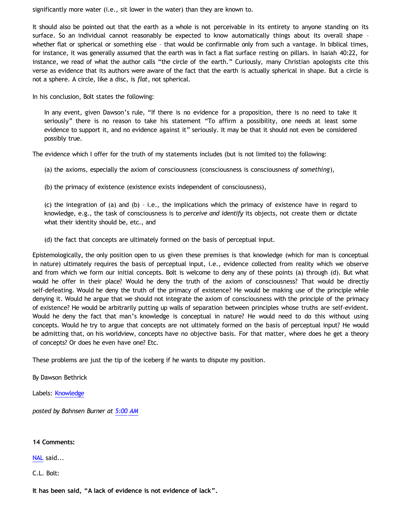significantly more water (i.e., sit lower in the water) than they are known to.

It should also be pointed out that the earth as a whole is not perceivable in its entirety to anyone standing on its surface. So an individual cannot reasonably be expected to know automatically things about its overall shape – whether flat or spherical or something else – that would be confirmable only from such a vantage. In biblical times, for instance, it was generally assumed that the earth was in fact a flat surface resting on pillars. In Isaiah 40:22, for instance, we read of what the author calls "the circle of the earth." Curiously, many Christian apologists cite this verse as evidence that its authors were aware of the fact that the earth is actually spherical in shape. But a circle is not a sphere. A circle, like a disc, is *flat*, not spherical.

In his conclusion, Bolt states the following:

In any event, given Dawson's rule, "If there is no evidence for a proposition, there is no need to take it seriously" there is no reason to take his statement "To affirm a possibility, one needs at least some evidence to support it, and no evidence against it" seriously. It may be that it should not even be considered possibly true.

The evidence which I offer for the truth of my statements includes (but is not limited to) the following:

(a) the axioms, especially the axiom of consciousness (consciousness is consciousness *of something*),

(b) the primacy of existence (existence exists independent of consciousness),

(c) the integration of (a) and (b) – i.e., the implications which the primacy of existence have in regard to knowledge, e.g., the task of consciousness is to *perceive and identify* its objects, not create them or dictate what their identity should be, etc., and

(d) the fact that concepts are ultimately formed on the basis of perceptual input.

Epistemologically, the only position open to us given these premises is that knowledge (which for man is conceptual in nature) ultimately requires the basis of perceptual input, i.e., evidence collected from reality which we observe and from which we form our initial concepts. Bolt is welcome to deny any of these points (a) through (d). But what would he offer in their place? Would he deny the truth of the axiom of consciousness? That would be directly self-defeating. Would he deny the truth of the primacy of existence? He would be making use of the principle while denying it. Would he argue that we should not integrate the axiom of consciousness with the principle of the primacy of existence? He would be arbitrarily putting up walls of separation between principles whose truths are self-evident. Would he deny the fact that man's knowledge is conceptual in nature? He would need to do this without using concepts. Would he try to argue that concepts are not ultimately formed on the basis of perceptual input? He would be admitting that, on his worldview, concepts have no objective basis. For that matter, where does he get a theory of concepts? Or does he even have one? Etc.

These problems are just the tip of the iceberg if he wants to dispute my position.

By Dawson Bethrick

Labels: [Knowledge](http://bahnsenburner.blogspot.com/search/label/Knowledge)

*posted by Bahnsen Burner at [5:00 AM](http://bahnsenburner.blogspot.com/2009/10/bolt-on-evidence-and-need-to-take-claim.html)*

**14 Comments:**

[NAL](http://www.blogger.com/profile/12244370945682162312) said...

C.L. Bolt:

**It has been said, "A lack of evidence is not evidence of lack".**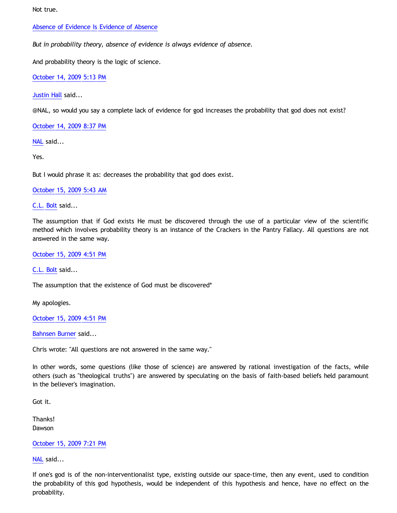Not true.

# [Absence of Evidence Is Evidence of Absence](http://lesswrong.com/lw/ih/absence_of_evidence_is_evidence_of_absence/)

*But in probability theory, absence of evidence is always evidence of absence.*

And probability theory is the logic of science.

[October 14, 2009 5:13 PM](http://bahnsenburner.blogspot.com/2009/10/4019108598609429199)

[Justin Hall](http://www.blogger.com/profile/17804641315202800289) said...

@NAL, so would you say a complete lack of evidence for god increases the probability that god does not exist?

[October 14, 2009 8:37 PM](http://bahnsenburner.blogspot.com/2009/10/5455169780749685099)

[NAL](http://www.blogger.com/profile/12244370945682162312) said...

Yes.

But I would phrase it as: decreases the probability that god does exist.

[October 15, 2009 5:43 AM](http://bahnsenburner.blogspot.com/2009/10/3201639971556018851)

[C.L. Bolt](http://www.blogger.com/profile/15797112064238146744) said...

The assumption that if God exists He must be discovered through the use of a particular view of the scientific method which involves probability theory is an instance of the Crackers in the Pantry Fallacy. All questions are not answered in the same way.

[October 15, 2009 4:51 PM](http://bahnsenburner.blogspot.com/2009/10/7916386548996841202)

[C.L. Bolt](http://www.blogger.com/profile/15797112064238146744) said...

The assumption that the existence of God must be discovered\*

My apologies.

[October 15, 2009 4:51 PM](http://bahnsenburner.blogspot.com/2009/10/4928381418628535356)

[Bahnsen Burner](http://www.blogger.com/profile/11030029491768748360) said...

Chris wrote: "All questions are not answered in the same way."

In other words, some questions (like those of science) are answered by rational investigation of the facts, while others (such as "theological truths") are answered by speculating on the basis of faith-based beliefs held paramount in the believer's imagination.

Got it.

Thanks! Dawson

[October 15, 2009 7:21 PM](http://bahnsenburner.blogspot.com/2009/10/4166810073158911641)

[NAL](http://www.blogger.com/profile/12244370945682162312) said...

If one's god is of the non-interventionalist type, existing outside our space-time, then any event, used to condition the probability of this god hypothesis, would be independent of this hypothesis and hence, have no effect on the probability.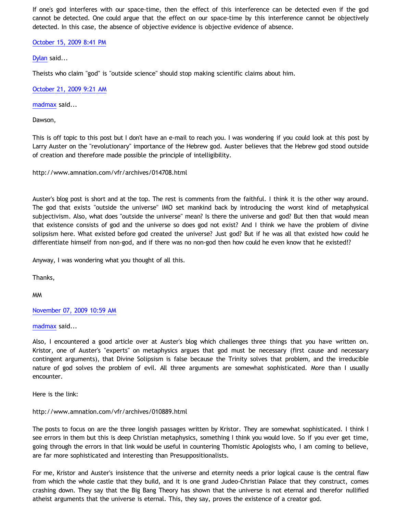If one's god interferes with our space-time, then the effect of this interference can be detected even if the god cannot be detected. One could argue that the effect on our space-time by this interference cannot be objectively detected. In this case, the absence of objective evidence is objective evidence of absence.

[October 15, 2009 8:41 PM](http://bahnsenburner.blogspot.com/2009/10/6986134706261289058)

[Dylan](http://www.blogger.com/profile/15651163650426018518) said...

Theists who claim "god" is "outside science" should stop making scientific claims about him.

[October 21, 2009 9:21 AM](http://bahnsenburner.blogspot.com/2009/10/8348803517821926906)

[madmax](http://www.blogger.com/profile/14375140131881725965) said...

Dawson,

This is off topic to this post but I don't have an e-mail to reach you. I was wondering if you could look at this post by Larry Auster on the "revolutionary" importance of the Hebrew god. Auster believes that the Hebrew god stood outside of creation and therefore made possible the principle of intelligibility.

<http://www.amnation.com/vfr/archives/014708.html>

Auster's blog post is short and at the top. The rest is comments from the faithful. I think it is the other way around. The god that exists "outside the universe" IMO set mankind back by introducing the worst kind of metaphysical subjectivism. Also, what does "outside the universe" mean? Is there the universe and god? But then that would mean that existence consists of god and the universe so does god not exist? And I think we have the problem of divine solipsism here. What existed before god created the universe? Just god? But if he was all that existed how could he differentiate himself from non-god, and if there was no non-god then how could he even know that he existed!?

Anyway, I was wondering what you thought of all this.

Thanks,

MM

[November 07, 2009 10:59 AM](http://bahnsenburner.blogspot.com/2009/10/5285613741730589198)

[madmax](http://www.blogger.com/profile/14375140131881725965) said...

Also, I encountered a good article over at Auster's blog which challenges three things that you have written on. Kristor, one of Auster's "experts" on metaphysics argues that god must be necessary (first cause and necessary contingent arguments), that Divine Solipsism is false because the Trinity solves that problem, and the irreducible nature of god solves the problem of evil. All three arguments are somewhat sophisticated. More than I usually encounter.

Here is the link:

## <http://www.amnation.com/vfr/archives/010889.html>

The posts to focus on are the three longish passages written by Kristor. They are somewhat sophisticated. I think I see errors in them but this is deep Christian metaphysics, something I think you would love. So if you ever get time, going through the errors in that link would be useful in countering Thomistic Apologists who, I am coming to believe, are far more sophisticated and interesting than Presuppositionalists.

For me, Kristor and Auster's insistence that the universe and eternity needs a prior logical cause is the central flaw from which the whole castle that they build, and it is one grand Judeo-Christian Palace that they construct, comes crashing down. They say that the Big Bang Theory has shown that the universe is not eternal and therefor nullified atheist arguments that the universe is eternal. This, they say, proves the existence of a creator god.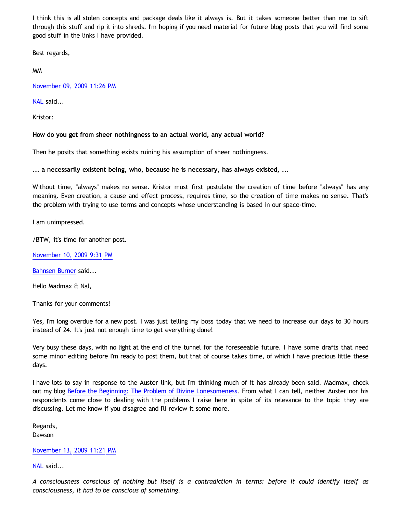I think this is all stolen concepts and package deals like it always is. But it takes someone better than me to sift through this stuff and rip it into shreds. I'm hoping if you need material for future blog posts that you will find some good stuff in the links I have provided.

Best regards,

MM

[November 09, 2009 11:26 PM](http://bahnsenburner.blogspot.com/2009/10/5640292730778534706)

[NAL](http://www.blogger.com/profile/12244370945682162312) said...

Kristor:

**How do you get from sheer nothingness to an actual world, any actual world?**

Then he posits that something exists ruining his assumption of sheer nothingness.

**... a necessarily existent being, who, because he is necessary, has always existed, ...**

Without time, "always" makes no sense. Kristor must first postulate the creation of time before "always" has any meaning. Even creation, a cause and effect process, requires time, so the creation of time makes no sense. That's the problem with trying to use terms and concepts whose understanding is based in our space-time.

I am unimpressed.

/BTW, it's time for another post.

[November 10, 2009 9:31 PM](http://bahnsenburner.blogspot.com/2009/10/6070204972823284948)

[Bahnsen Burner](http://www.blogger.com/profile/11030029491768748360) said...

Hello Madmax & Nal,

Thanks for your comments!

Yes, I'm long overdue for a new post. I was just telling my boss today that we need to increase our days to 30 hours instead of 24. It's just not enough time to get everything done!

Very busy these days, with no light at the end of the tunnel for the foreseeable future. I have some drafts that need some minor editing before I'm ready to post them, but that of course takes time, of which I have precious little these days.

I have lots to say in response to the Auster link, but I'm thinking much of it has already been said. Madmax, check out my blog [Before the Beginning: The Problem of Divine Lonesomeness.](http://bahnsenburner.blogspot.com/2008/07/before-beginning-problem-of-divine.html) From what I can tell, neither Auster nor his respondents come close to dealing with the problems I raise here in spite of its relevance to the topic they are discussing. Let me know if you disagree and I'll review it some more.

Regards, Dawson

[November 13, 2009 11:21 PM](http://bahnsenburner.blogspot.com/2009/10/4519298904369123671)

[NAL](http://www.blogger.com/profile/12244370945682162312) said...

*A consciousness conscious of nothing but itself is a contradiction in terms: before it could identify itself as consciousness, it had to be conscious of something.*